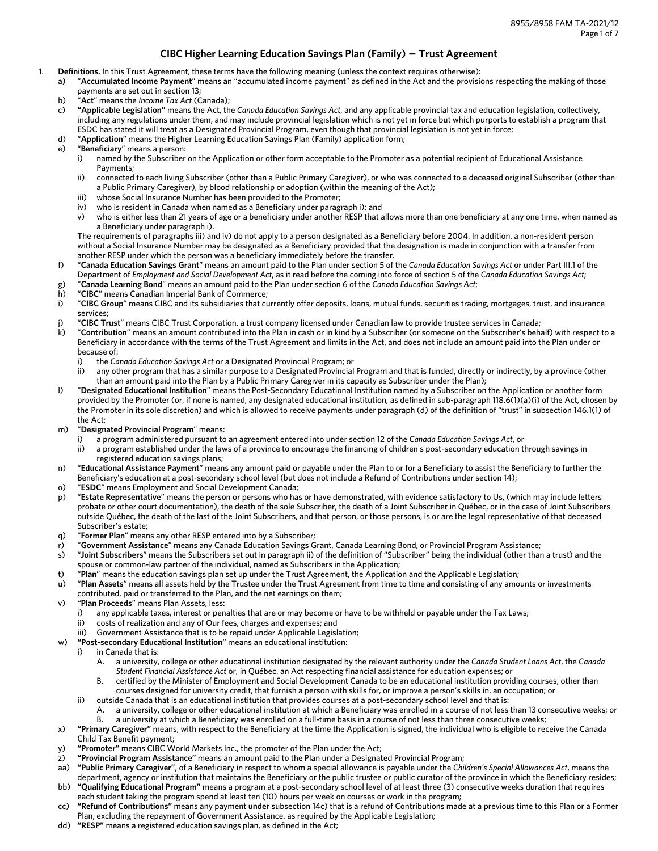# **CIBC Higher Learning Education Savings Plan (Family) - Trust Agreement**

- 1. **Definitions.** In this Trust Agreement, these terms have the following meaning (unless the context requires otherwise):
	- a) "**Accumulated Income Payment**" means an "accumulated income payment" as defined in the Act and the provisions respecting the making of those payments are set out in section 13;
	- b) "**Act**" means the *Income Tax Act* (Canada);
	- c) **"Applicable Legislation"** means the Act, the *Canada Education Savings Act*, and any applicable provincial tax and education legislation, collectively, including any regulations under them, and may include provincial legislation which is not yet in force but which purports to establish a program that ESDC has stated it will treat as a Designated Provincial Program, even though that provincial legislation is not yet in force;
	- d) "**Application**" means the Higher Learning Education Savings Plan (Family) application form;
	- e) "**Beneficiary**" means a person:
		- i) named by the Subscriber on the Application or other form acceptable to the Promoter as a potential recipient of Educational Assistance Payments;
		- ii) connected to each living Subscriber (other than a Public Primary Caregiver), or who was connected to a deceased original Subscriber (other than a Public Primary Caregiver), by blood relationship or adoption (within the meaning of the Act);
		- iii) whose Social Insurance Number has been provided to the Promoter;
		- iv) who is resident in Canada when named as a Beneficiary under paragraph i); and
		- v) who is either less than 21 years of age or a beneficiary under another RESP that allows more than one beneficiary at any one time, when named as a Beneficiary under paragraph i).

The requirements of paragraphs iii) and iv) do not apply to a person designated as a Beneficiary before 2004. In addition, a non-resident person without a Social Insurance Number may be designated as a Beneficiary provided that the designation is made in conjunction with a transfer from another RESP under which the person was a beneficiary immediately before the transfer.

- f) "**Canada Education Savings Grant**" means an amount paid to the Plan under section 5 of the *Canada Education Savings Act* or under Part III.1 of the Department of *Employment and Social Development Act*, as it read before the coming into force of section 5 of the *Canada Education Savings Act*;
- g) "**Canada Learning Bond**" means an amount paid to the Plan under section 6 of the *Canada Education Savings Act*;
- h) "**CIBC**" means Canadian Imperial Bank of Commerce;
- i) "**CIBC Group**" means CIBC and its subsidiaries that currently offer deposits, loans, mutual funds, securities trading, mortgages, trust, and insurance services;
- j) "**CIBC Trust**" means CIBC Trust Corporation, a trust company licensed under Canadian law to provide trustee services in Canada;
- k) "**Contribution**" means an amount contributed into the Plan in cash or in kind by a Subscriber (or someone on the Subscriber's behalf) with respect to a Beneficiary in accordance with the terms of the Trust Agreement and limits in the Act, and does not include an amount paid into the Plan under or because of:
	- i) the *Canada Education Savings Act* or a Designated Provincial Program; or
	- ii) any other program that has a similar purpose to a Designated Provincial Program and that is funded, directly or indirectly, by a province (other than an amount paid into the Plan by a Public Primary Caregiver in its capacity as Subscriber under the Plan);
- l) "**Designated Educational Institution**" means the Post-Secondary Educational Institution named by a Subscriber on the Application or another form provided by the Promoter (or, if none is named, any designated educational institution, as defined in sub-paragraph 118.6(1)(a)(i) of the Act, chosen by the Promoter in its sole discretion) and which is allowed to receive payments under paragraph (d) of the definition of "trust" in subsection 146.1(1) of the Act;
- m) "**Designated Provincial Program**" means:
	- i) a program administered pursuant to an agreement entered into under section 12 of the *Canada Education Savings Act*, or
	- ii) a program established under the laws of a province to encourage the financing of children's post-secondary education through savings in registered education savings plans;
- n) "**Educational Assistance Payment**" means any amount paid or payable under the Plan to or for a Beneficiary to assist the Beneficiary to further the Beneficiary's education at a post-secondary school level (but does not include a Refund of Contributions under section 14);
- o) "**ESDC**" means Employment and Social Development Canada;
- p) "**Estate Representative**" means the person or persons who has or have demonstrated, with evidence satisfactory to Us, (which may include letters probate or other court documentation), the death of the sole Subscriber, the death of a Joint Subscriber in Québec, or in the case of Joint Subscribers outside Québec, the death of the last of the Joint Subscribers, and that person, or those persons, is or are the legal representative of that deceased Subscriber's estate;
- q) "**Former Plan**" means any other RESP entered into by a Subscriber;
- r) "**Government Assistance**" means any Canada Education Savings Grant, Canada Learning Bond, or Provincial Program Assistance;
- s) "**Joint Subscribers**" means the Subscribers set out in paragraph ii) of the definition of "Subscriber" being the individual (other than a trust) and the spouse or common-law partner of the individual, named as Subscribers in the Application;
- t) "**Plan**" means the education savings plan set up under the Trust Agreement, the Application and the Applicable Legislation;
- u) "**Plan Assets**" means all assets held by the Trustee under the Trust Agreement from time to time and consisting of any amounts or investments contributed, paid or transferred to the Plan, and the net earnings on them;
- v) *"***Plan Proceeds**" means Plan Assets, less:
	- i) any applicable taxes, interest or penalties that are or may become or have to be withheld or payable under the Tax Laws;
	- ii) costs of realization and any of Our fees, charges and expenses; and
	- iii) Government Assistance that is to be repaid under Applicable Legislation;
- w) **"Post-secondary Educational Institution"** means an educational institution:
	- i) in Canada that is:
		- A. a university, college or other educational institution designated by the relevant authority under the *Canada Student Loans Act*, the *Canada Student Financial Assistance Act* or, in Québec, an Act respecting financial assistance for education expenses; or
		- B. certified by the Minister of Employment and Social Development Canada to be an educational institution providing courses, other than courses designed for university credit, that furnish a person with skills for, or improve a person's skills in, an occupation; or
		- ii) outside Canada that is an educational institution that provides courses at a post-secondary school level and that is:
			- A. a university, college or other educational institution at which a Beneficiary was enrolled in a course of not less than 13 consecutive weeks; or
- B. a university at which a Beneficiary was enrolled on a full-time basis in a course of not less than three consecutive weeks; x) **"Primary Caregiver"** means, with respect to the Beneficiary at the time the Application is signed, the individual who is eligible to receive the Canada
- Child Tax Benefit payment;
- y) **"Promoter"** means CIBC World Markets Inc., the promoter of the Plan under the Act;
- z) **"Provincial Program Assistance"** means an amount paid to the Plan under a Designated Provincial Program;
- aa) **"Public Primary Caregiver"**, of a Beneficiary in respect to whom a special allowance is payable under the *Children's Special Allowances Act*, means the department, agency or institution that maintains the Beneficiary or the public trustee or public curator of the province in which the Beneficiary resides;
- bb) **"Qualifying Educational Program"** means a program at a post-secondary school level of at least three (3) consecutive weeks duration that requires each student taking the program spend at least ten (10) hours per week on courses or work in the program;
- cc) **"Refund of Contributions"** means any payment **under** subsection 14c) that is a refund of Contributions made at a previous time to this Plan or a Former Plan, excluding the repayment of Government Assistance, as required by the Applicable Legislation;
- dd) **"RESP"** means a registered education savings plan, as defined in the Act;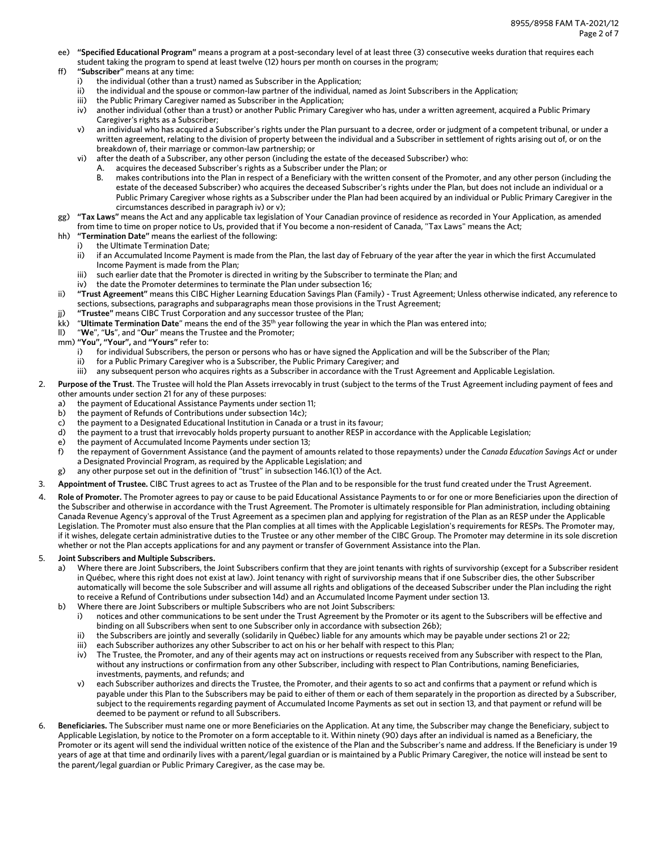- ee) **"Specified Educational Program"** means a program at a post-secondary level of at least three (3) consecutive weeks duration that requires each student taking the program to spend at least twelve (12) hours per month on courses in the program;
- ff) **"Subscriber"** means at any time:
	- the individual (other than a trust) named as Subscriber in the Application;
	- ii) the individual and the spouse or common-law partner of the individual, named as Joint Subscribers in the Application;
	- iii) the Public Primary Caregiver named as Subscriber in the Application;
	- iv) another individual (other than a trust) or another Public Primary Caregiver who has, under a written agreement, acquired a Public Primary Caregiver's rights as a Subscriber;
	- an individual who has acquired a Subscriber's rights under the Plan pursuant to a decree, order or judgment of a competent tribunal, or under a written agreement, relating to the division of property between the individual and a Subscriber in settlement of rights arising out of, or on the breakdown of, their marriage or common-law partnership; or
	- vi) after the death of a Subscriber, any other person (including the estate of the deceased Subscriber) who:
		- acquires the deceased Subscriber's rights as a Subscriber under the Plan; or
			- makes contributions into the Plan in respect of a Beneficiary with the written consent of the Promoter, and any other person (including the estate of the deceased Subscriber) who acquires the deceased Subscriber's rights under the Plan, but does not include an individual or a Public Primary Caregiver whose rights as a Subscriber under the Plan had been acquired by an individual or Public Primary Caregiver in the circumstances described in paragraph iv) or v);
- gg) **"Tax Laws"** means the Act and any applicable tax legislation of Your Canadian province of residence as recorded in Your Application, as amended from time to time on proper notice to Us, provided that if You become a non-resident of Canada, "Tax Laws" means the Act;
- hh) **"Termination Date"** means the earliest of the following:
	- i) the Ultimate Termination Date;
	- ii) if an Accumulated Income Payment is made from the Plan, the last day of February of the year after the year in which the first Accumulated Income Payment is made from the Plan;
	- iii) such earlier date that the Promoter is directed in writing by the Subscriber to terminate the Plan; and
	- iv) the date the Promoter determines to terminate the Plan under subsection 16;
- ii) **"Trust Agreement"** means this CIBC Higher Learning Education Savings Plan (Family) Trust Agreement; Unless otherwise indicated, any reference to sections, subsections, paragraphs and subparagraphs mean those provisions in the Trust Agreement;
- jj) **"Trustee"** means CIBC Trust Corporation and any successor trustee of the Plan;
- kk) "**Ultimate Termination Date**" means the end of the 35th year following the year in which the Plan was entered into;
- ll) "**We**", "**Us**", and "**Our**" means the Trustee and the Promoter;
- mm) **"You", "Your",** and **"Yours"** refer to:
	- i) for individual Subscribers, the person or persons who has or have signed the Application and will be the Subscriber of the Plan;
	- ii) for a Public Primary Caregiver who is a Subscriber, the Public Primary Caregiver; and
	- iii) any subsequent person who acquires rights as a Subscriber in accordance with the Trust Agreement and Applicable Legislation.
- 2. **Purpose of the Trust**. The Trustee will hold the Plan Assets irrevocably in trust (subject to the terms of the Trust Agreement including payment of fees and other amounts under section 21 for any of these purposes:
	- a) the payment of Educational Assistance Payments under section 11;
	- b) the payment of Refunds of Contributions under subsection 14c);
	- c) the payment to a Designated Educational Institution in Canada or a trust in its favour;
	- d) the payment to a trust that irrevocably holds property pursuant to another RESP in accordance with the Applicable Legislation;
	- e) the payment of Accumulated Income Payments under section 13;
	- f) the repayment of Government Assistance (and the payment of amounts related to those repayments) under the *Canada Education Savings Act* or under a Designated Provincial Program, as required by the Applicable Legislation; and
	- g) any other purpose set out in the definition of "trust" in subsection 146.1(1) of the Act.
- 3. **Appointment of Trustee.** CIBC Trust agrees to act as Trustee of the Plan and to be responsible for the trust fund created under the Trust Agreement.
- 4. **Role of Promoter.** The Promoter agrees to pay or cause to be paid Educational Assistance Payments to or for one or more Beneficiaries upon the direction of the Subscriber and otherwise in accordance with the Trust Agreement. The Promoter is ultimately responsible for Plan administration, including obtaining Canada Revenue Agency's approval of the Trust Agreement as a specimen plan and applying for registration of the Plan as an RESP under the Applicable Legislation. The Promoter must also ensure that the Plan complies at all times with the Applicable Legislation's requirements for RESPs. The Promoter may, if it wishes, delegate certain administrative duties to the Trustee or any other member of the CIBC Group. The Promoter may determine in its sole discretion whether or not the Plan accepts applications for and any payment or transfer of Government Assistance into the Plan.

#### 5. **Joint Subscribers and Multiple Subscribers.**

- a) Where there are Joint Subscribers, the Joint Subscribers confirm that they are joint tenants with rights of survivorship (except for a Subscriber resident in Québec, where this right does not exist at law). Joint tenancy with right of survivorship means that if one Subscriber dies, the other Subscriber automatically will become the sole Subscriber and will assume all rights and obligations of the deceased Subscriber under the Plan including the right to receive a Refund of Contributions under subsection 14d) and an Accumulated Income Payment under section 13.
- b) Where there are Joint Subscribers or multiple Subscribers who are not Joint Subscribers:
	- i) notices and other communications to be sent under the Trust Agreement by the Promoter or its agent to the Subscribers will be effective and binding on all Subscribers when sent to one Subscriber only in accordance with subsection 26b);
	- ii) the Subscribers are jointly and severally (solidarily in Québec) liable for any amounts which may be payable under sections 21 or 22;
	- iii) each Subscriber authorizes any other Subscriber to act on his or her behalf with respect to this Plan;
	- iv) The Trustee, the Promoter, and any of their agents may act on instructions or requests received from any Subscriber with respect to the Plan, without any instructions or confirmation from any other Subscriber, including with respect to Plan Contributions, naming Beneficiaries, investments, payments, and refunds; and
	- v) each Subscriber authorizes and directs the Trustee, the Promoter, and their agents to so act and confirms that a payment or refund which is payable under this Plan to the Subscribers may be paid to either of them or each of them separately in the proportion as directed by a Subscriber, subject to the requirements regarding payment of Accumulated Income Payments as set out in section 13, and that payment or refund will be deemed to be payment or refund to all Subscribers.
- 6. **Beneficiaries.** The Subscriber must name one or more Beneficiaries on the Application. At any time, the Subscriber may change the Beneficiary, subject to Applicable Legislation, by notice to the Promoter on a form acceptable to it. Within ninety (90) days after an individual is named as a Beneficiary, the Promoter or its agent will send the individual written notice of the existence of the Plan and the Subscriber's name and address. If the Beneficiary is under 19 years of age at that time and ordinarily lives with a parent/legal guardian or is maintained by a Public Primary Caregiver, the notice will instead be sent to the parent/legal guardian or Public Primary Caregiver, as the case may be.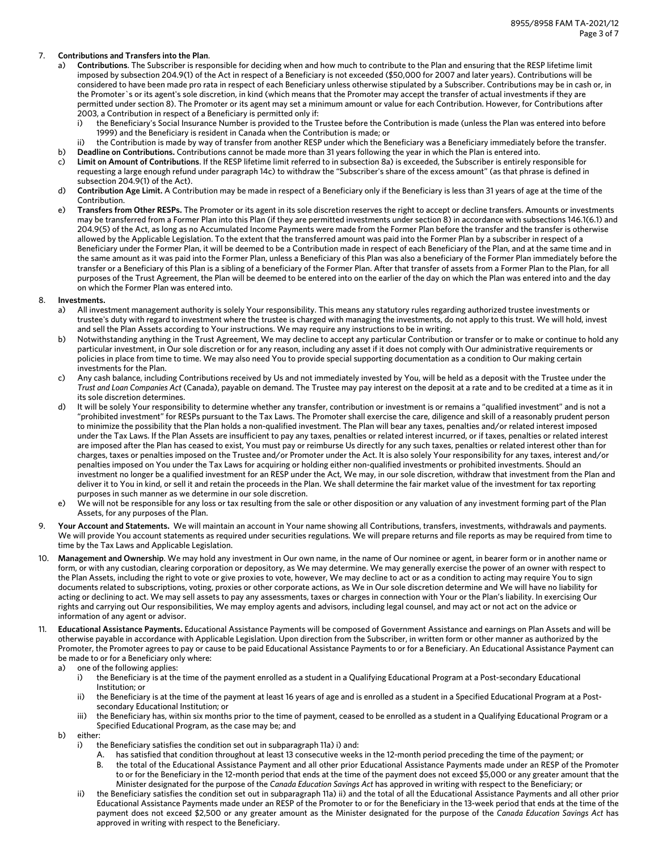### 7. **Contributions and Transfers into the Plan**.

- a) **Contributions**. The Subscriber is responsible for deciding when and how much to contribute to the Plan and ensuring that the RESP lifetime limit imposed by subsection 204.9(1) of the Act in respect of a Beneficiary is not exceeded (\$50,000 for 2007 and later years). Contributions will be considered to have been made pro rata in respect of each Beneficiary unless otherwise stipulated by a Subscriber. Contributions may be in cash or, in the Promoter`s or its agent's sole discretion, in kind (which means that the Promoter may accept the transfer of actual investments if they are permitted under section 8). The Promoter or its agent may set a minimum amount or value for each Contribution. However, for Contributions after 2003, a Contribution in respect of a Beneficiary is permitted only if:
	- i) the Beneficiary's Social Insurance Number is provided to the Trustee before the Contribution is made (unless the Plan was entered into before 1999) and the Beneficiary is resident in Canada when the Contribution is made; or
- ii) the Contribution is made by way of transfer from another RESP under which the Beneficiary was a Beneficiary immediately before the transfer. b) **Deadline on Contributions.** Contributions cannot be made more than 31 years following the year in which the Plan is entered into.
- c) **Limit on Amount of Contributions**. If the RESP lifetime limit referred to in subsection 8a) is exceeded, the Subscriber is entirely responsible for requesting a large enough refund under paragraph 14c) to withdraw the "Subscriber's share of the excess amount" (as that phrase is defined in subsection 204.9(1) of the Act).
- d) **Contribution Age Limit.** A Contribution may be made in respect of a Beneficiary only if the Beneficiary is less than 31 years of age at the time of the Contribution.
- e) **Transfers from Other RESPs.** The Promoter or its agent in its sole discretion reserves the right to accept or decline transfers. Amounts or investments may be transferred from a Former Plan into this Plan (if they are permitted investments under section 8) in accordance with subsections 146.1(6.1) and 204.9(5) of the Act, as long as no Accumulated Income Payments were made from the Former Plan before the transfer and the transfer is otherwise allowed by the Applicable Legislation. To the extent that the transferred amount was paid into the Former Plan by a subscriber in respect of a Beneficiary under the Former Plan, it will be deemed to be a Contribution made in respect of each Beneficiary of the Plan, and at the same time and in the same amount as it was paid into the Former Plan, unless a Beneficiary of this Plan was also a beneficiary of the Former Plan immediately before the transfer or a Beneficiary of this Plan is a sibling of a beneficiary of the Former Plan. After that transfer of assets from a Former Plan to the Plan, for all purposes of the Trust Agreement, the Plan will be deemed to be entered into on the earlier of the day on which the Plan was entered into and the day on which the Former Plan was entered into.
- 8. **Investments.**
	- a) All investment management authority is solely Your responsibility. This means any statutory rules regarding authorized trustee investments or trustee's duty with regard to investment where the trustee is charged with managing the investments, do not apply to this trust. We will hold, invest and sell the Plan Assets according to Your instructions. We may require any instructions to be in writing.
	- b) Notwithstanding anything in the Trust Agreement, We may decline to accept any particular Contribution or transfer or to make or continue to hold any particular investment, in Our sole discretion or for any reason, including any asset if it does not comply with Our administrative requirements or policies in place from time to time. We may also need You to provide special supporting documentation as a condition to Our making certain investments for the Plan.
	- c) Any cash balance, including Contributions received by Us and not immediately invested by You, will be held as a deposit with the Trustee under the *Trust and Loan Companies Act* (Canada), payable on demand. The Trustee may pay interest on the deposit at a rate and to be credited at a time as it in its sole discretion determines.
	- d) It will be solely Your responsibility to determine whether any transfer, contribution or investment is or remains a "qualified investment" and is not a "prohibited investment" for RESPs pursuant to the Tax Laws. The Promoter shall exercise the care, diligence and skill of a reasonably prudent person to minimize the possibility that the Plan holds a non-qualified investment. The Plan will bear any taxes, penalties and/or related interest imposed under the Tax Laws. If the Plan Assets are insufficient to pay any taxes, penalties or related interest incurred, or if taxes, penalties or related interest are imposed after the Plan has ceased to exist, You must pay or reimburse Us directly for any such taxes, penalties or related interest other than for charges, taxes or penalties imposed on the Trustee and/or Promoter under the Act. It is also solely Your responsibility for any taxes, interest and/or penalties imposed on You under the Tax Laws for acquiring or holding either non-qualified investments or prohibited investments. Should an investment no longer be a qualified investment for an RESP under the Act, We may, in our sole discretion, withdraw that investment from the Plan and deliver it to You in kind, or sell it and retain the proceeds in the Plan. We shall determine the fair market value of the investment for tax reporting purposes in such manner as we determine in our sole discretion.
	- e) We will not be responsible for any loss or tax resulting from the sale or other disposition or any valuation of any investment forming part of the Plan Assets, for any purposes of the Plan.
- 9. **Your Account and Statements.** We will maintain an account in Your name showing all Contributions, transfers, investments, withdrawals and payments. We will provide You account statements as required under securities regulations. We will prepare returns and file reports as may be required from time to time by the Tax Laws and Applicable Legislation.
- 10. **Management and Ownership**. We may hold any investment in Our own name, in the name of Our nominee or agent, in bearer form or in another name or form, or with any custodian, clearing corporation or depository, as We may determine. We may generally exercise the power of an owner with respect to the Plan Assets, including the right to vote or give proxies to vote, however, We may decline to act or as a condition to acting may require You to sign documents related to subscriptions, voting, proxies or other corporate actions, as We in Our sole discretion determine and We will have no liability for acting or declining to act. We may sell assets to pay any assessments, taxes or charges in connection with Your or the Plan's liability. In exercising Our rights and carrying out Our responsibilities, We may employ agents and advisors, including legal counsel, and may act or not act on the advice or information of any agent or advisor.
- 11. **Educational Assistance Payments.** Educational Assistance Payments will be composed of Government Assistance and earnings on Plan Assets and will be otherwise payable in accordance with Applicable Legislation. Upon direction from the Subscriber, in written form or other manner as authorized by the Promoter, the Promoter agrees to pay or cause to be paid Educational Assistance Payments to or for a Beneficiary. An Educational Assistance Payment can be made to or for a Beneficiary only where:
	- a) one of the following applies:
		- i) the Beneficiary is at the time of the payment enrolled as a student in a Qualifying Educational Program at a Post-secondary Educational Institution; or
		- the Beneficiary is at the time of the payment at least 16 years of age and is enrolled as a student in a Specified Educational Program at a Postsecondary Educational Institution; or
		- iii) the Beneficiary has, within six months prior to the time of payment, ceased to be enrolled as a student in a Qualifying Educational Program or a Specified Educational Program, as the case may be; and
	- b) either:
		- i) the Beneficiary satisfies the condition set out in subparagraph 11a) i) and:
			- A. has satisfied that condition throughout at least 13 consecutive weeks in the 12-month period preceding the time of the payment; or B. the total of the Educational Assistance Payment and all other prior Educational Assistance Payments made under an RESP of the Promoter to or for the Beneficiary in the 12-month period that ends at the time of the payment does not exceed \$5,000 or any greater amount that the Minister designated for the purpose of the *Canada Education Savings Act* has approved in writing with respect to the Beneficiary; or
		- ii) the Beneficiary satisfies the condition set out in subparagraph 11a) ii) and the total of all the Educational Assistance Payments and all other prior Educational Assistance Payments made under an RESP of the Promoter to or for the Beneficiary in the 13-week period that ends at the time of the payment does not exceed \$2,500 or any greater amount as the Minister designated for the purpose of the *Canada Education Savings Act* has approved in writing with respect to the Beneficiary.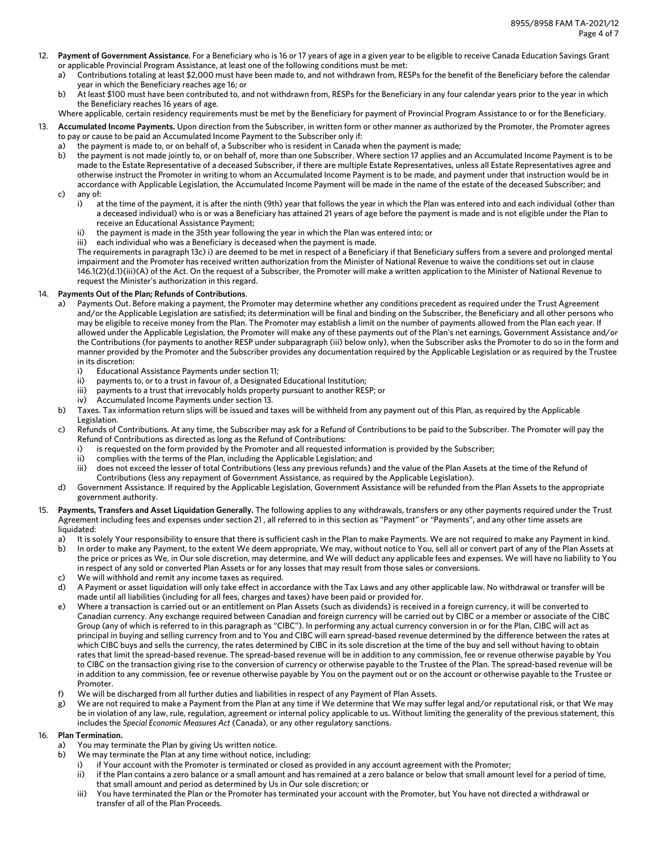- 12. **Payment of Government Assistance**. For a Beneficiary who is 16 or 17 years of age in a given year to be eligible to receive Canada Education Savings Grant or applicable Provincial Program Assistance, at least one of the following conditions must be met:
	- a) Contributions totaling at least \$2,000 must have been made to, and not withdrawn from, RESPs for the benefit of the Beneficiary before the calendar year in which the Beneficiary reaches age 16; or
	- b) At least \$100 must have been contributed to, and not withdrawn from, RESPs for the Beneficiary in any four calendar years prior to the year in which the Beneficiary reaches 16 years of age.

Where applicable, certain residency requirements must be met by the Beneficiary for payment of Provincial Program Assistance to or for the Beneficiary.

- 13. **Accumulated Income Payments.** Upon direction from the Subscriber, in written form or other manner as authorized by the Promoter, the Promoter agrees to pay or cause to be paid an Accumulated Income Payment to the Subscriber only if:
	- a) the payment is made to, or on behalf of, a Subscriber who is resident in Canada when the payment is made;
	- b) the payment is not made jointly to, or on behalf of, more than one Subscriber. Where section 17 applies and an Accumulated Income Payment is to be made to the Estate Representative of a deceased Subscriber, if there are multiple Estate Representatives, unless all Estate Representatives agree and otherwise instruct the Promoter in writing to whom an Accumulated Income Payment is to be made, and payment under that instruction would be in accordance with Applicable Legislation, the Accumulated Income Payment will be made in the name of the estate of the deceased Subscriber; and c) any of:
		- i) at the time of the payment, it is after the ninth (9th) year that follows the year in which the Plan was entered into and each individual (other than a deceased individual) who is or was a Beneficiary has attained 21 years of age before the payment is made and is not eligible under the Plan to receive an Educational Assistance Payment;
		- ii) the payment is made in the 35th year following the year in which the Plan was entered into; or
		- iii) each individual who was a Beneficiary is deceased when the payment is made.

The requirements in paragraph 13c) i) are deemed to be met in respect of a Beneficiary if that Beneficiary suffers from a severe and prolonged mental impairment and the Promoter has received written authorization from the Minister of National Revenue to waive the conditions set out in clause 146.1(2)(d.1)(iii)(A) of the Act. On the request of a Subscriber, the Promoter will make a written application to the Minister of National Revenue to request the Minister's authorization in this regard.

## 14. **Payments Out of the Plan; Refunds of Contributions**.

- Payments Out. Before making a payment, the Promoter may determine whether any conditions precedent as required under the Trust Agreement and/or the Applicable Legislation are satisfied; its determination will be final and binding on the Subscriber, the Beneficiary and all other persons who may be eligible to receive money from the Plan. The Promoter may establish a limit on the number of payments allowed from the Plan each year. If allowed under the Applicable Legislation, the Promoter will make any of these payments out of the Plan's net earnings, Government Assistance and/or the Contributions (for payments to another RESP under subparagraph (iii) below only), when the Subscriber asks the Promoter to do so in the form and manner provided by the Promoter and the Subscriber provides any documentation required by the Applicable Legislation or as required by the Trustee in its discretion:
	- i) Educational Assistance Payments under section 11;
	- ii) payments to, or to a trust in favour of, a Designated Educational Institution;
	- iii) payments to a trust that irrevocably holds property pursuant to another RESP; or
	- iv) Accumulated Income Payments under section 13.
- b) Taxes. Tax information return slips will be issued and taxes will be withheld from any payment out of this Plan, as required by the Applicable Legislation.
- c) Refunds of Contributions. At any time, the Subscriber may ask for a Refund of Contributions to be paid to the Subscriber. The Promoter will pay the Refund of Contributions as directed as long as the Refund of Contributions:
	- i) is requested on the form provided by the Promoter and all requested information is provided by the Subscriber;
	- ii) complies with the terms of the Plan, including the Applicable Legislation; and
	- iii) does not exceed the lesser of total Contributions (less any previous refunds) and the value of the Plan Assets at the time of the Refund of Contributions (less any repayment of Government Assistance, as required by the Applicable Legislation).
- d) Government Assistance. If required by the Applicable Legislation, Government Assistance will be refunded from the Plan Assets to the appropriate government authority.
- 15. **Payments, Transfers and Asset Liquidation Generally.** The following applies to any withdrawals, transfers or any other payments required under the Trust Agreement including fees and expenses under section 21 , all referred to in this section as "Payment" or "Payments", and any other time assets are liquidated:
	- a) It is solely Your responsibility to ensure that there is sufficient cash in the Plan to make Payments. We are not required to make any Payment in kind.
	- b) In order to make any Payment, to the extent We deem appropriate, We may, without notice to You, sell all or convert part of any of the Plan Assets at the price or prices as We, in Our sole discretion, may determine, and We will deduct any applicable fees and expenses. We will have no liability to You in respect of any sold or converted Plan Assets or for any losses that may result from those sales or conversions.
	- c) We will withhold and remit any income taxes as required.
	- d) A Payment or asset liquidation will only take effect in accordance with the Tax Laws and any other applicable law. No withdrawal or transfer will be made until all liabilities (including for all fees, charges and taxes) have been paid or provided for.
	- e) Where a transaction is carried out or an entitlement on Plan Assets (such as dividends) is received in a foreign currency, it will be converted to Canadian currency. Any exchange required between Canadian and foreign currency will be carried out by CIBC or a member or associate of the CIBC Group (any of which is referred to in this paragraph as "CIBC"). In performing any actual currency conversion in or for the Plan, CIBC will act as principal in buying and selling currency from and to You and CIBC will earn spread-based revenue determined by the difference between the rates at which CIBC buys and sells the currency, the rates determined by CIBC in its sole discretion at the time of the buy and sell without having to obtain rates that limit the spread-based revenue. The spread-based revenue will be in addition to any commission, fee or revenue otherwise payable by You to CIBC on the transaction giving rise to the conversion of currency or otherwise payable to the Trustee of the Plan. The spread-based revenue will be in addition to any commission, fee or revenue otherwise payable by You on the payment out or on the account or otherwise payable to the Trustee or Promoter.
	- f) We will be discharged from all further duties and liabilities in respect of any Payment of Plan Assets.
	- g) We are not required to make a Payment from the Plan at any time if We determine that We may suffer legal and/or reputational risk, or that We may be in violation of any law, rule, regulation, agreement or internal policy applicable to us. Without limiting the generality of the previous statement, this includes the *Special Economic Measures Act* (Canada), or any other regulatory sanctions.

## 16. **Plan Termination.**

- a) You may terminate the Plan by giving Us written notice.
- b) We may terminate the Plan at any time without notice, including:
	- i) if Your account with the Promoter is terminated or closed as provided in any account agreement with the Promoter;
	- ii) if the Plan contains a zero balance or a small amount and has remained at a zero balance or below that small amount level for a period of time, that small amount and period as determined by Us in Our sole discretion; or
	- iii) You have terminated the Plan or the Promoter has terminated your account with the Promoter, but You have not directed a withdrawal or transfer of all of the Plan Proceeds.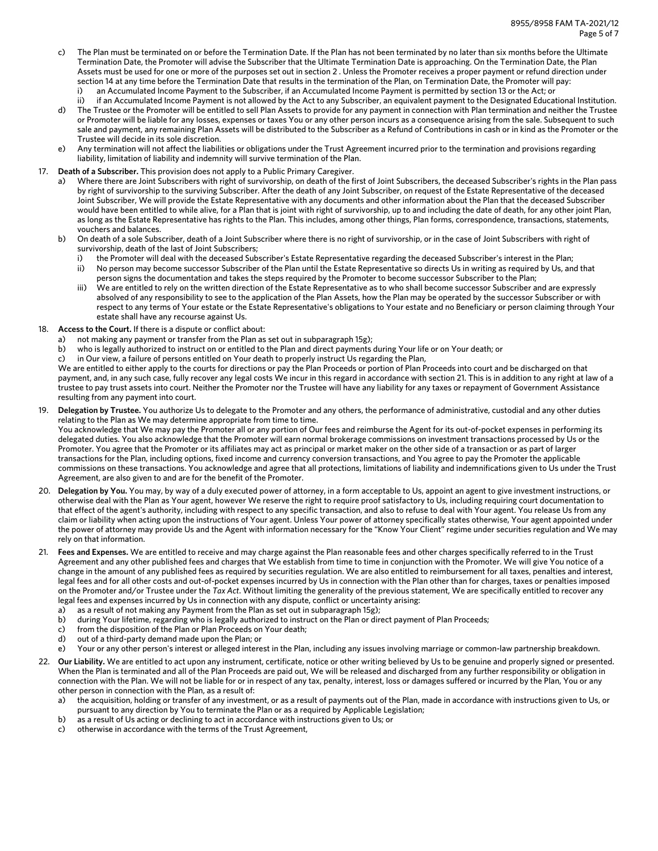- c) The Plan must be terminated on or before the Termination Date. If the Plan has not been terminated by no later than six months before the Ultimate Termination Date, the Promoter will advise the Subscriber that the Ultimate Termination Date is approaching. On the Termination Date, the Plan Assets must be used for one or more of the purposes set out in section 2 . Unless the Promoter receives a proper payment or refund direction under section 14 at any time before the Termination Date that results in the termination of the Plan, on Termination Date, the Promoter will pay:
	- an Accumulated Income Payment to the Subscriber, if an Accumulated Income Payment is permitted by section 13 or the Act; or
	- ii) if an Accumulated Income Payment is not allowed by the Act to any Subscriber, an equivalent payment to the Designated Educational Institution.
- d) The Trustee or the Promoter will be entitled to sell Plan Assets to provide for any payment in connection with Plan termination and neither the Trustee or Promoter will be liable for any losses, expenses or taxes You or any other person incurs as a consequence arising from the sale. Subsequent to such sale and payment, any remaining Plan Assets will be distributed to the Subscriber as a Refund of Contributions in cash or in kind as the Promoter or the Trustee will decide in its sole discretion.
- e) Any termination will not affect the liabilities or obligations under the Trust Agreement incurred prior to the termination and provisions regarding liability, limitation of liability and indemnity will survive termination of the Plan.

# 17. **Death of a Subscriber.** This provision does not apply to a Public Primary Caregiver.

- a) Where there are Joint Subscribers with right of survivorship, on death of the first of Joint Subscribers, the deceased Subscriber's rights in the Plan pass by right of survivorship to the surviving Subscriber. After the death of any Joint Subscriber, on request of the Estate Representative of the deceased Joint Subscriber, We will provide the Estate Representative with any documents and other information about the Plan that the deceased Subscriber would have been entitled to while alive, for a Plan that is joint with right of survivorship, up to and including the date of death, for any other joint Plan, as long as the Estate Representative has rights to the Plan. This includes, among other things, Plan forms, correspondence, transactions, statements, vouchers and balances.
- b) On death of a sole Subscriber, death of a Joint Subscriber where there is no right of survivorship, or in the case of Joint Subscribers with right of survivorship, death of the last of Joint Subscribers;
	- i) the Promoter will deal with the deceased Subscriber's Estate Representative regarding the deceased Subscriber's interest in the Plan; ii) No person may become successor Subscriber of the Plan until the Estate Representative so directs Us in writing as required by Us, and that
	- person signs the documentation and takes the steps required by the Promoter to become successor Subscriber to the Plan;
	- iii) We are entitled to rely on the written direction of the Estate Representative as to who shall become successor Subscriber and are expressly absolved of any responsibility to see to the application of the Plan Assets, how the Plan may be operated by the successor Subscriber or with respect to any terms of Your estate or the Estate Representative's obligations to Your estate and no Beneficiary or person claiming through Your estate shall have any recourse against Us.
- 18. **Access to the Court.** If there is a dispute or conflict about:
	- a) not making any payment or transfer from the Plan as set out in subparagraph 15g);
	- b) who is legally authorized to instruct on or entitled to the Plan and direct payments during Your life or on Your death; or
	- c) in Our view, a failure of persons entitled on Your death to properly instruct Us regarding the Plan,

We are entitled to either apply to the courts for directions or pay the Plan Proceeds or portion of Plan Proceeds into court and be discharged on that payment, and, in any such case, fully recover any legal costs We incur in this regard in accordance with section 21. This is in addition to any right at law of a trustee to pay trust assets into court. Neither the Promoter nor the Trustee will have any liability for any taxes or repayment of Government Assistance resulting from any payment into court.

19. **Delegation by Trustee.** You authorize Us to delegate to the Promoter and any others, the performance of administrative, custodial and any other duties relating to the Plan as We may determine appropriate from time to time.

You acknowledge that We may pay the Promoter all or any portion of Our fees and reimburse the Agent for its out-of-pocket expenses in performing its delegated duties. You also acknowledge that the Promoter will earn normal brokerage commissions on investment transactions processed by Us or the Promoter. You agree that the Promoter or its affiliates may act as principal or market maker on the other side of a transaction or as part of larger transactions for the Plan, including options, fixed income and currency conversion transactions, and You agree to pay the Promoter the applicable commissions on these transactions. You acknowledge and agree that all protections, limitations of liability and indemnifications given to Us under the Trust Agreement, are also given to and are for the benefit of the Promoter.

- 20. **Delegation by You.** You may, by way of a duly executed power of attorney, in a form acceptable to Us, appoint an agent to give investment instructions, or otherwise deal with the Plan as Your agent, however We reserve the right to require proof satisfactory to Us, including requiring court documentation to that effect of the agent's authority, including with respect to any specific transaction, and also to refuse to deal with Your agent. You release Us from any claim or liability when acting upon the instructions of Your agent. Unless Your power of attorney specifically states otherwise, Your agent appointed under the power of attorney may provide Us and the Agent with information necessary for the "Know Your Client" regime under securities regulation and We may rely on that information.
- 21. **Fees and Expenses.** We are entitled to receive and may charge against the Plan reasonable fees and other charges specifically referred to in the Trust Agreement and any other published fees and charges that We establish from time to time in conjunction with the Promoter. We will give You notice of a change in the amount of any published fees as required by securities regulation. We are also entitled to reimbursement for all taxes, penalties and interest, legal fees and for all other costs and out-of-pocket expenses incurred by Us in connection with the Plan other than for charges, taxes or penalties imposed on the Promoter and/or Trustee under the *Tax Act*. Without limiting the generality of the previous statement, We are specifically entitled to recover any legal fees and expenses incurred by Us in connection with any dispute, conflict or uncertainty arising:
	- a) as a result of not making any Payment from the Plan as set out in subparagraph 15g);
	- b) during Your lifetime, regarding who is legally authorized to instruct on the Plan or direct payment of Plan Proceeds;
	- c) from the disposition of the Plan or Plan Proceeds on Your death;
	- d) out of a third-party demand made upon the Plan; or
	- e) Your or any other person's interest or alleged interest in the Plan, including any issues involving marriage or common-law partnership breakdown.
- 22. **Our Liability.** We are entitled to act upon any instrument, certificate, notice or other writing believed by Us to be genuine and properly signed or presented. When the Plan is terminated and all of the Plan Proceeds are paid out, We will be released and discharged from any further responsibility or obligation in connection with the Plan. We will not be liable for or in respect of any tax, penalty, interest, loss or damages suffered or incurred by the Plan, You or any other person in connection with the Plan, as a result of:
	- a) the acquisition, holding or transfer of any investment, or as a result of payments out of the Plan, made in accordance with instructions given to Us, or pursuant to any direction by You to terminate the Plan or as a required by Applicable Legislation;
	- b) as a result of Us acting or declining to act in accordance with instructions given to Us; or
	- c) otherwise in accordance with the terms of the Trust Agreement,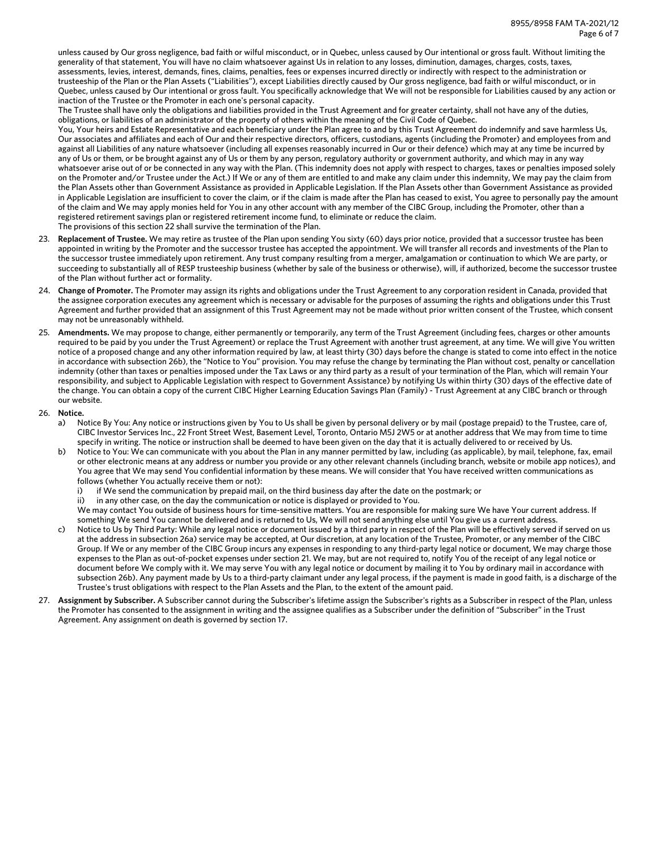unless caused by Our gross negligence, bad faith or wilful misconduct, or in Quebec, unless caused by Our intentional or gross fault. Without limiting the generality of that statement, You will have no claim whatsoever against Us in relation to any losses, diminution, damages, charges, costs, taxes, assessments, levies, interest, demands, fines, claims, penalties, fees or expenses incurred directly or indirectly with respect to the administration or trusteeship of the Plan or the Plan Assets ("Liabilities"), except Liabilities directly caused by Our gross negligence, bad faith or wilful misconduct, or in Quebec, unless caused by Our intentional or gross fault. You specifically acknowledge that We will not be responsible for Liabilities caused by any action or inaction of the Trustee or the Promoter in each one's personal capacity.

The Trustee shall have only the obligations and liabilities provided in the Trust Agreement and for greater certainty, shall not have any of the duties, obligations, or liabilities of an administrator of the property of others within the meaning of the Civil Code of Quebec.

You, Your heirs and Estate Representative and each beneficiary under the Plan agree to and by this Trust Agreement do indemnify and save harmless Us, Our associates and affiliates and each of Our and their respective directors, officers, custodians, agents (including the Promoter) and employees from and against all Liabilities of any nature whatsoever (including all expenses reasonably incurred in Our or their defence) which may at any time be incurred by any of Us or them, or be brought against any of Us or them by any person, regulatory authority or government authority, and which may in any way whatsoever arise out of or be connected in any way with the Plan. (This indemnity does not apply with respect to charges, taxes or penalties imposed solely on the Promoter and/or Trustee under the Act.) If We or any of them are entitled to and make any claim under this indemnity, We may pay the claim from the Plan Assets other than Government Assistance as provided in Applicable Legislation. If the Plan Assets other than Government Assistance as provided in Applicable Legislation are insufficient to cover the claim, or if the claim is made after the Plan has ceased to exist, You agree to personally pay the amount of the claim and We may apply monies held for You in any other account with any member of the CIBC Group, including the Promoter, other than a registered retirement savings plan or registered retirement income fund, to eliminate or reduce the claim. The provisions of this section 22 shall survive the termination of the Plan.

- 23. **Replacement of Trustee.** We may retire as trustee of the Plan upon sending You sixty (60) days prior notice, provided that a successor trustee has been appointed in writing by the Promoter and the successor trustee has accepted the appointment. We will transfer all records and investments of the Plan to the successor trustee immediately upon retirement. Any trust company resulting from a merger, amalgamation or continuation to which We are party, or succeeding to substantially all of RESP trusteeship business (whether by sale of the business or otherwise), will, if authorized, become the successor trustee of the Plan without further act or formality.
- 24. **Change of Promoter.** The Promoter may assign its rights and obligations under the Trust Agreement to any corporation resident in Canada, provided that the assignee corporation executes any agreement which is necessary or advisable for the purposes of assuming the rights and obligations under this Trust Agreement and further provided that an assignment of this Trust Agreement may not be made without prior written consent of the Trustee, which consent may not be unreasonably withheld.
- 25. **Amendments.** We may propose to change, either permanently or temporarily, any term of the Trust Agreement (including fees, charges or other amounts required to be paid by you under the Trust Agreement) or replace the Trust Agreement with another trust agreement, at any time. We will give You written notice of a proposed change and any other information required by law, at least thirty (30) days before the change is stated to come into effect in the notice in accordance with subsection 26b), the "Notice to You" provision. You may refuse the change by terminating the Plan without cost, penalty or cancellation indemnity (other than taxes or penalties imposed under the Tax Laws or any third party as a result of your termination of the Plan, which will remain Your responsibility, and subject to Applicable Legislation with respect to Government Assistance) by notifying Us within thirty (30) days of the effective date of the change. You can obtain a copy of the current CIBC Higher Learning Education Savings Plan (Family) - Trust Agreement at any CIBC branch or through our website.
- 26. **Notice.**
	- a) Notice By You: Any notice or instructions given by You to Us shall be given by personal delivery or by mail (postage prepaid) to the Trustee, care of, CIBC Investor Services Inc., 22 Front Street West, Basement Level, Toronto, Ontario M5J 2W5 or at another address that We may from time to time specify in writing. The notice or instruction shall be deemed to have been given on the day that it is actually delivered to or received by Us.
	- b) Notice to You: We can communicate with you about the Plan in any manner permitted by law, including (as applicable), by mail, telephone, fax, email or other electronic means at any address or number you provide or any other relevant channels (including branch, website or mobile app notices), and You agree that We may send You confidential information by these means. We will consider that You have received written communications as follows (whether You actually receive them or not):
		- i) if We send the communication by prepaid mail, on the third business day after the date on the postmark; or
		- ii) in any other case, on the day the communication or notice is displayed or provided to You.
		- We may contact You outside of business hours for time-sensitive matters. You are responsible for making sure We have Your current address. If something We send You cannot be delivered and is returned to Us, We will not send anything else until You give us a current address.
	- Notice to Us by Third Party: While any legal notice or document issued by a third party in respect of the Plan will be effectively served if served on us at the address in subsection 26a) service may be accepted, at Our discretion, at any location of the Trustee, Promoter, or any member of the CIBC Group. If We or any member of the CIBC Group incurs any expenses in responding to any third-party legal notice or document, We may charge those expenses to the Plan as out-of-pocket expenses under section 21. We may, but are not required to, notify You of the receipt of any legal notice or document before We comply with it. We may serve You with any legal notice or document by mailing it to You by ordinary mail in accordance with subsection 26b). Any payment made by Us to a third-party claimant under any legal process, if the payment is made in good faith, is a discharge of the Trustee's trust obligations with respect to the Plan Assets and the Plan, to the extent of the amount paid.
- 27. **Assignment by Subscriber.** A Subscriber cannot during the Subscriber's lifetime assign the Subscriber's rights as a Subscriber in respect of the Plan, unless the Promoter has consented to the assignment in writing and the assignee qualifies as a Subscriber under the definition of "Subscriber" in the Trust Agreement. Any assignment on death is governed by section 17.